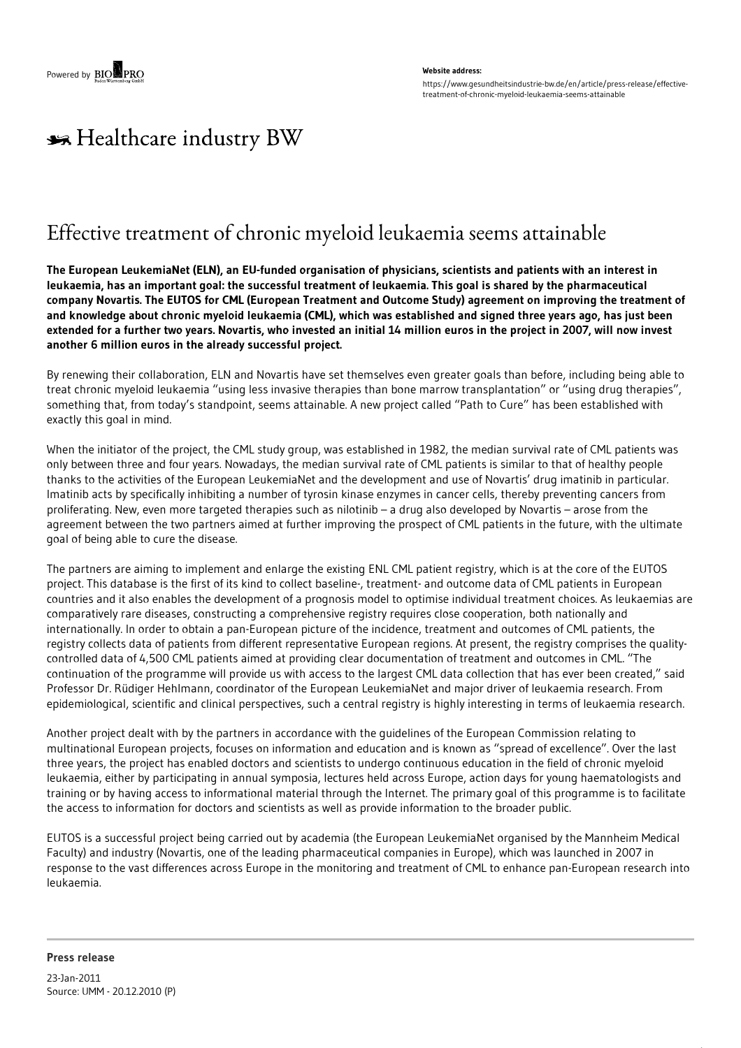## **Website address:** https://www.gesundheitsindustrie-bw.de/en/article/press-release/effectivetreatment-of-chronic-myeloid-leukaemia-seems-attainable

## \*\* Healthcare industry BW

## Effective treatment of chronic myeloid leukaemia seems attainable

The European LeukemiaNet (ELN), an EU-funded organisation of physicians, scientists and patients with an interest in leukaemia, has an important goal: the successful treatment of leukaemia. This goal is shared by the pharmaceutical company Novartis. The EUTOS for CML (European Treatment and Outcome Study) agreement on improving the treatment of and knowledge about chronic myeloid leukaemia (CML), which was established and signed three years ago, has just been extended for a further two years. Novartis, who invested an initial 14 million euros in the project in 2007, will now invest **another 6 million euros in the already successful project.**

By renewing their collaboration, ELN and Novartis have set themselves even greater goals than before, including being able to treat chronic myeloid leukaemia "using less invasive therapies than bone marrow transplantation" or "using drug therapies", something that, from today's standpoint, seems attainable. A new project called "Path to Cure" has been established with exactly this goal in mind.

When the initiator of the project, the CML study group, was established in 1982, the median survival rate of CML patients was only between three and four years. Nowadays, the median survival rate of CML patients is similar to that of healthy people thanks to the activities of the European LeukemiaNet and the development and use of Novartis' drug imatinib in particular. Imatinib acts by specifically inhibiting a number of tyrosin kinase enzymes in cancer cells, thereby preventing cancers from proliferating. New, even more targeted therapies such as nilotinib – a drug also developed by Novartis – arose from the agreement between the two partners aimed at further improving the prospect of CML patients in the future, with the ultimate goal of being able to cure the disease.

The partners are aiming to implement and enlarge the existing ENL CML patient registry, which is at the core of the EUTOS project. This database is the first of its kind to collect baseline-, treatment- and outcome data of CML patients in European countries and it also enables the development of a prognosis model to optimise individual treatment choices. As leukaemias are comparatively rare diseases, constructing a comprehensive registry requires close cooperation, both nationally and internationally. In order to obtain a pan-European picture of the incidence, treatment and outcomes of CML patients, the registry collects data of patients from different representative European regions. At present, the registry comprises the qualitycontrolled data of 4,500 CML patients aimed at providing clear documentation of treatment and outcomes in CML. "The continuation of the programme will provide us with access to the largest CML data collection that has ever been created," said Professor Dr. Rüdiger Hehlmann, coordinator of the European LeukemiaNet and major driver of leukaemia research. From epidemiological, scientific and clinical perspectives, such a central registry is highly interesting in terms of leukaemia research.

Another project dealt with by the partners in accordance with the guidelines of the European Commission relating to multinational European projects, focuses on information and education and is known as "spread of excellence". Over the last three years, the project has enabled doctors and scientists to undergo continuous education in the field of chronic myeloid leukaemia, either by participating in annual symposia, lectures held across Europe, action days for young haematologists and training or by having access to informational material through the Internet. The primary goal of this programme is to facilitate the access to information for doctors and scientists as well as provide information to the broader public.

EUTOS is a successful project being carried out by academia (the European LeukemiaNet organised by the Mannheim Medical Faculty) and industry (Novartis, one of the leading pharmaceutical companies in Europe), which was launched in 2007 in response to the vast differences across Europe in the monitoring and treatment of CML to enhance pan-European research into leukaemia.